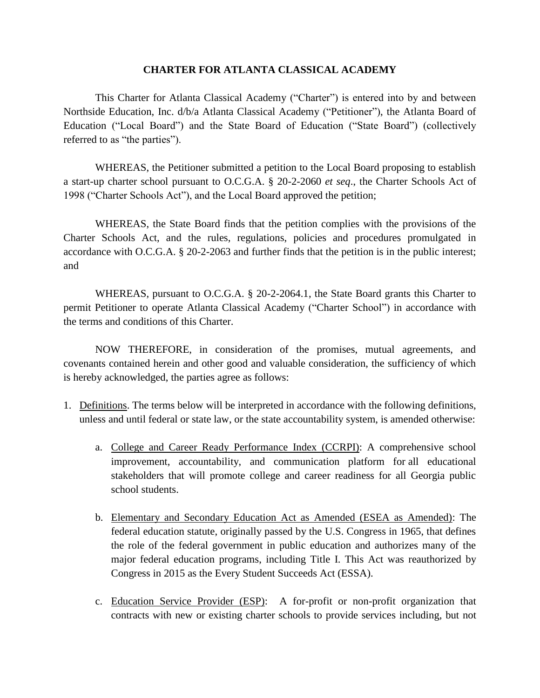This Charter for Atlanta Classical Academy ("Charter") is entered into by and between Northside Education, Inc. d/b/a Atlanta Classical Academy ("Petitioner"), the Atlanta Board of Education ("Local Board") and the State Board of Education ("State Board") (collectively referred to as "the parties").

WHEREAS, the Petitioner submitted a petition to the Local Board proposing to establish a start-up charter school pursuant to O.C.G.A. § 20-2-2060 *et seq*., the Charter Schools Act of 1998 ("Charter Schools Act"), and the Local Board approved the petition;

WHEREAS, the State Board finds that the petition complies with the provisions of the Charter Schools Act, and the rules, regulations, policies and procedures promulgated in accordance with O.C.G.A. § 20-2-2063 and further finds that the petition is in the public interest; and

WHEREAS, pursuant to O.C.G.A. § 20-2-2064.1, the State Board grants this Charter to permit Petitioner to operate Atlanta Classical Academy ("Charter School") in accordance with the terms and conditions of this Charter.

NOW THEREFORE, in consideration of the promises, mutual agreements, and covenants contained herein and other good and valuable consideration, the sufficiency of which is hereby acknowledged, the parties agree as follows:

- 1. Definitions. The terms below will be interpreted in accordance with the following definitions, unless and until federal or state law, or the state accountability system, is amended otherwise:
	- a. College and Career Ready Performance Index (CCRPI): A comprehensive school improvement, accountability, and communication platform for all educational stakeholders that will promote college and career readiness for all Georgia public school students.
	- b. Elementary and Secondary Education Act as Amended (ESEA as Amended): The federal education statute, originally passed by the U.S. Congress in 1965, that defines the role of the federal government in public education and authorizes many of the major federal education programs, including Title I. This Act was reauthorized by Congress in 2015 as the Every Student Succeeds Act (ESSA).
	- c. Education Service Provider (ESP): A for-profit or non-profit organization that contracts with new or existing charter schools to provide services including, but not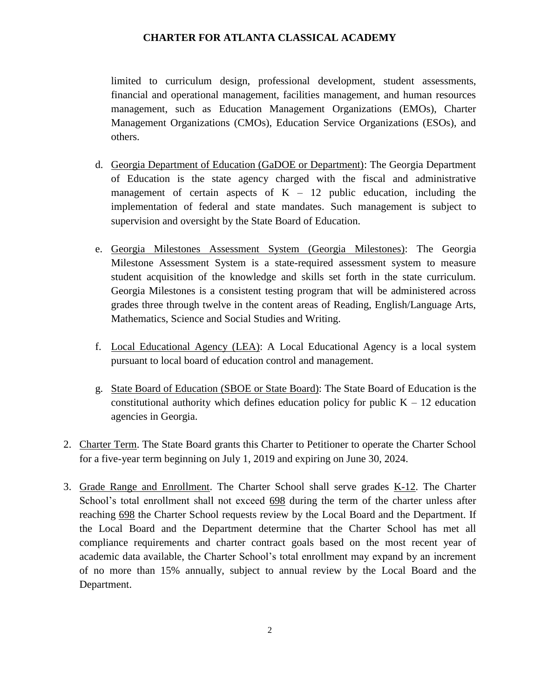limited to curriculum design, professional development, student assessments, financial and operational management, facilities management, and human resources management, such as Education Management Organizations (EMOs), Charter Management Organizations (CMOs), Education Service Organizations (ESOs), and others.

- d. Georgia Department of Education (GaDOE or Department): The Georgia Department of Education is the state agency charged with the fiscal and administrative management of certain aspects of  $K - 12$  public education, including the implementation of federal and state mandates. Such management is subject to supervision and oversight by the State Board of Education.
- e. Georgia Milestones Assessment System (Georgia Milestones): The Georgia Milestone Assessment System is a state-required assessment system to measure student acquisition of the knowledge and skills set forth in the state curriculum. Georgia Milestones is a consistent testing program that will be administered across grades three through twelve in the content areas of Reading, English/Language Arts, Mathematics, Science and Social Studies and Writing.
- f. Local Educational Agency (LEA): A Local Educational Agency is a local system pursuant to local board of education control and management.
- g. State Board of Education (SBOE or State Board): The State Board of Education is the constitutional authority which defines education policy for public  $K - 12$  education agencies in Georgia.
- 2. Charter Term. The State Board grants this Charter to Petitioner to operate the Charter School for a five-year term beginning on July 1, 2019 and expiring on June 30, 2024.
- 3. Grade Range and Enrollment. The Charter School shall serve grades K-12. The Charter School's total enrollment shall not exceed 698 during the term of the charter unless after reaching 698 the Charter School requests review by the Local Board and the Department. If the Local Board and the Department determine that the Charter School has met all compliance requirements and charter contract goals based on the most recent year of academic data available, the Charter School's total enrollment may expand by an increment of no more than 15% annually, subject to annual review by the Local Board and the Department.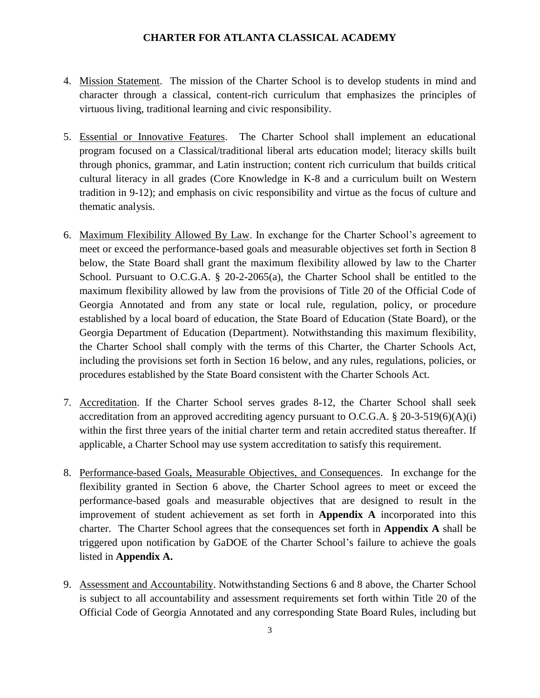- 4. Mission Statement. The mission of the Charter School is to develop students in mind and character through a classical, content-rich curriculum that emphasizes the principles of virtuous living, traditional learning and civic responsibility.
- 5. Essential or Innovative Features. The Charter School shall implement an educational program focused on a Classical/traditional liberal arts education model; literacy skills built through phonics, grammar, and Latin instruction; content rich curriculum that builds critical cultural literacy in all grades (Core Knowledge in K-8 and a curriculum built on Western tradition in 9-12); and emphasis on civic responsibility and virtue as the focus of culture and thematic analysis.
- 6. Maximum Flexibility Allowed By Law. In exchange for the Charter School's agreement to meet or exceed the performance-based goals and measurable objectives set forth in Section 8 below, the State Board shall grant the maximum flexibility allowed by law to the Charter School. Pursuant to O.C.G.A. § 20-2-2065(a), the Charter School shall be entitled to the maximum flexibility allowed by law from the provisions of Title 20 of the Official Code of Georgia Annotated and from any state or local rule, regulation, policy, or procedure established by a local board of education, the State Board of Education (State Board), or the Georgia Department of Education (Department). Notwithstanding this maximum flexibility, the Charter School shall comply with the terms of this Charter, the Charter Schools Act, including the provisions set forth in Section 16 below, and any rules, regulations, policies, or procedures established by the State Board consistent with the Charter Schools Act.
- 7. Accreditation. If the Charter School serves grades 8-12, the Charter School shall seek accreditation from an approved accrediting agency pursuant to O.C.G.A. § 20-3-519(6)(A)(i) within the first three years of the initial charter term and retain accredited status thereafter. If applicable, a Charter School may use system accreditation to satisfy this requirement.
- 8. Performance-based Goals, Measurable Objectives, and Consequences. In exchange for the flexibility granted in Section 6 above, the Charter School agrees to meet or exceed the performance-based goals and measurable objectives that are designed to result in the improvement of student achievement as set forth in **Appendix A** incorporated into this charter. The Charter School agrees that the consequences set forth in **Appendix A** shall be triggered upon notification by GaDOE of the Charter School's failure to achieve the goals listed in **Appendix A.**
- 9. Assessment and Accountability. Notwithstanding Sections 6 and 8 above, the Charter School is subject to all accountability and assessment requirements set forth within Title 20 of the Official Code of Georgia Annotated and any corresponding State Board Rules, including but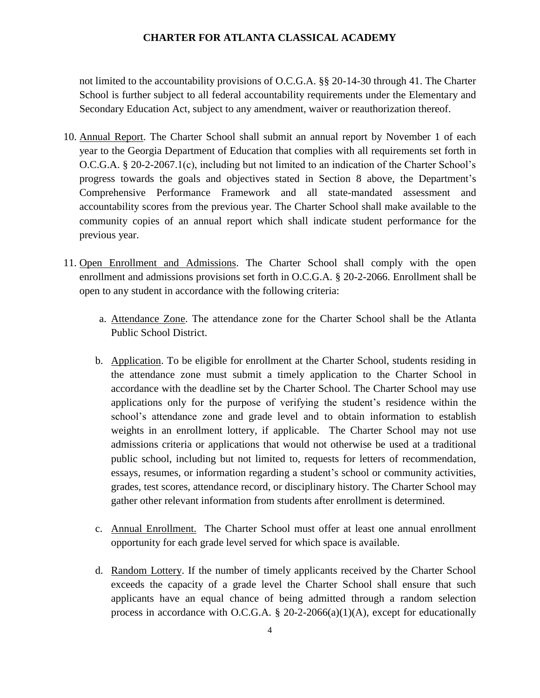not limited to the accountability provisions of O.C.G.A. §§ 20-14-30 through 41. The Charter School is further subject to all federal accountability requirements under the Elementary and Secondary Education Act, subject to any amendment, waiver or reauthorization thereof.

- 10. Annual Report. The Charter School shall submit an annual report by November 1 of each year to the Georgia Department of Education that complies with all requirements set forth in O.C.G.A. § 20-2-2067.1(c), including but not limited to an indication of the Charter School's progress towards the goals and objectives stated in Section 8 above, the Department's Comprehensive Performance Framework and all state-mandated assessment and accountability scores from the previous year. The Charter School shall make available to the community copies of an annual report which shall indicate student performance for the previous year.
- 11. Open Enrollment and Admissions. The Charter School shall comply with the open enrollment and admissions provisions set forth in O.C.G.A. § 20-2-2066. Enrollment shall be open to any student in accordance with the following criteria:
	- a. Attendance Zone. The attendance zone for the Charter School shall be the Atlanta Public School District.
	- b. Application. To be eligible for enrollment at the Charter School, students residing in the attendance zone must submit a timely application to the Charter School in accordance with the deadline set by the Charter School. The Charter School may use applications only for the purpose of verifying the student's residence within the school's attendance zone and grade level and to obtain information to establish weights in an enrollment lottery, if applicable. The Charter School may not use admissions criteria or applications that would not otherwise be used at a traditional public school, including but not limited to, requests for letters of recommendation, essays, resumes, or information regarding a student's school or community activities, grades, test scores, attendance record, or disciplinary history. The Charter School may gather other relevant information from students after enrollment is determined.
	- c. Annual Enrollment. The Charter School must offer at least one annual enrollment opportunity for each grade level served for which space is available.
	- d. Random Lottery. If the number of timely applicants received by the Charter School exceeds the capacity of a grade level the Charter School shall ensure that such applicants have an equal chance of being admitted through a random selection process in accordance with O.C.G.A.  $\S$  20-2-2066(a)(1)(A), except for educationally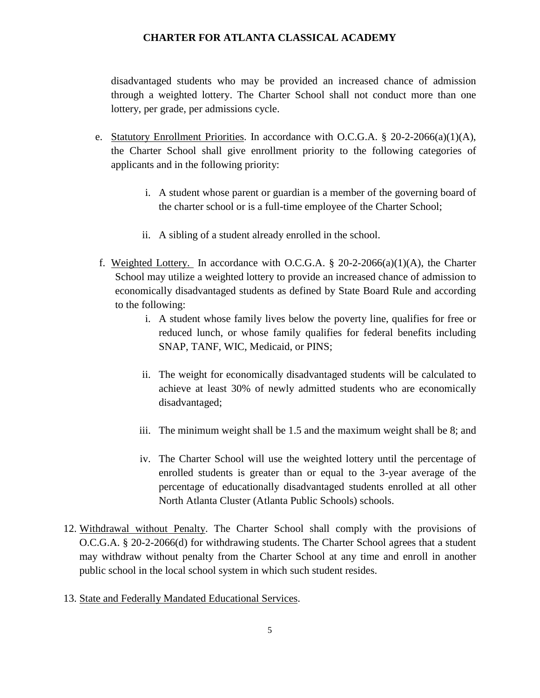disadvantaged students who may be provided an increased chance of admission through a weighted lottery. The Charter School shall not conduct more than one lottery, per grade, per admissions cycle.

- e. Statutory Enrollment Priorities. In accordance with O.C.G.A.  $\S$  20-2-2066(a)(1)(A), the Charter School shall give enrollment priority to the following categories of applicants and in the following priority:
	- i. A student whose parent or guardian is a member of the governing board of the charter school or is a full-time employee of the Charter School;
	- ii. A sibling of a student already enrolled in the school.
- f. Weighted Lottery. In accordance with O.C.G.A.  $\S$  20-2-2066(a)(1)(A), the Charter School may utilize a weighted lottery to provide an increased chance of admission to economically disadvantaged students as defined by State Board Rule and according to the following:
	- i. A student whose family lives below the poverty line, qualifies for free or reduced lunch, or whose family qualifies for federal benefits including SNAP, TANF, WIC, Medicaid, or PINS;
	- ii. The weight for economically disadvantaged students will be calculated to achieve at least 30% of newly admitted students who are economically disadvantaged;
	- iii. The minimum weight shall be 1.5 and the maximum weight shall be 8; and
	- iv. The Charter School will use the weighted lottery until the percentage of enrolled students is greater than or equal to the 3-year average of the percentage of educationally disadvantaged students enrolled at all other North Atlanta Cluster (Atlanta Public Schools) schools.
- 12. Withdrawal without Penalty. The Charter School shall comply with the provisions of O.C.G.A. § 20-2-2066(d) for withdrawing students. The Charter School agrees that a student may withdraw without penalty from the Charter School at any time and enroll in another public school in the local school system in which such student resides.
- 13. State and Federally Mandated Educational Services.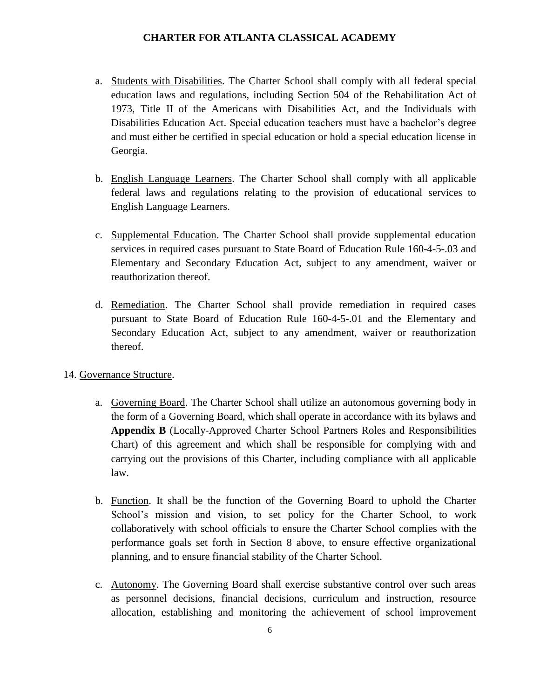- a. Students with Disabilities. The Charter School shall comply with all federal special education laws and regulations, including Section 504 of the Rehabilitation Act of 1973, Title II of the Americans with Disabilities Act, and the Individuals with Disabilities Education Act. Special education teachers must have a bachelor's degree and must either be certified in special education or hold a special education license in Georgia.
- b. English Language Learners. The Charter School shall comply with all applicable federal laws and regulations relating to the provision of educational services to English Language Learners.
- c. Supplemental Education. The Charter School shall provide supplemental education services in required cases pursuant to State Board of Education Rule 160-4-5-.03 and Elementary and Secondary Education Act, subject to any amendment, waiver or reauthorization thereof.
- d. Remediation. The Charter School shall provide remediation in required cases pursuant to State Board of Education Rule 160-4-5-.01 and the Elementary and Secondary Education Act, subject to any amendment, waiver or reauthorization thereof.

# 14. Governance Structure.

- a. Governing Board. The Charter School shall utilize an autonomous governing body in the form of a Governing Board, which shall operate in accordance with its bylaws and **Appendix B** (Locally-Approved Charter School Partners Roles and Responsibilities Chart) of this agreement and which shall be responsible for complying with and carrying out the provisions of this Charter, including compliance with all applicable law.
- b. Function. It shall be the function of the Governing Board to uphold the Charter School's mission and vision, to set policy for the Charter School, to work collaboratively with school officials to ensure the Charter School complies with the performance goals set forth in Section 8 above, to ensure effective organizational planning, and to ensure financial stability of the Charter School.
- c. Autonomy. The Governing Board shall exercise substantive control over such areas as personnel decisions, financial decisions, curriculum and instruction, resource allocation, establishing and monitoring the achievement of school improvement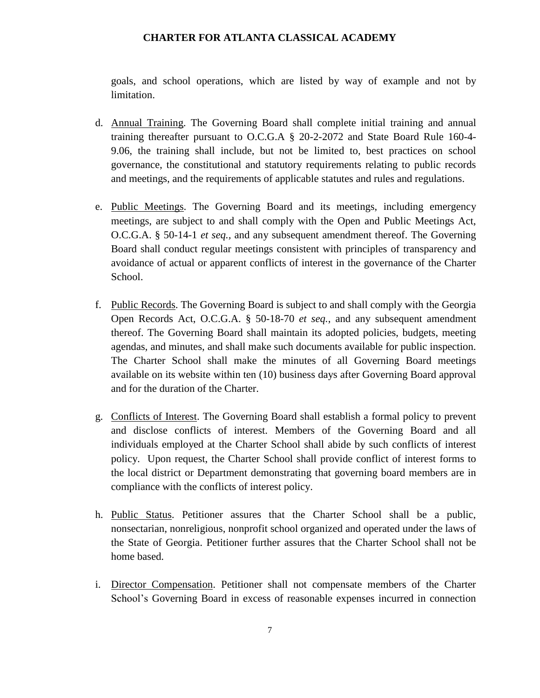goals, and school operations, which are listed by way of example and not by limitation.

- d. Annual Training. The Governing Board shall complete initial training and annual training thereafter pursuant to O.C.G.A § 20-2-2072 and State Board Rule 160-4- 9.06, the training shall include, but not be limited to, best practices on school governance, the constitutional and statutory requirements relating to public records and meetings, and the requirements of applicable statutes and rules and regulations.
- e. Public Meetings. The Governing Board and its meetings, including emergency meetings, are subject to and shall comply with the Open and Public Meetings Act, O.C.G.A. § 50-14-1 *et seq.,* and any subsequent amendment thereof. The Governing Board shall conduct regular meetings consistent with principles of transparency and avoidance of actual or apparent conflicts of interest in the governance of the Charter School.
- f. Public Records. The Governing Board is subject to and shall comply with the Georgia Open Records Act, O.C.G.A. § 50-18-70 *et seq.*, and any subsequent amendment thereof. The Governing Board shall maintain its adopted policies, budgets, meeting agendas, and minutes, and shall make such documents available for public inspection. The Charter School shall make the minutes of all Governing Board meetings available on its website within ten (10) business days after Governing Board approval and for the duration of the Charter.
- g. Conflicts of Interest. The Governing Board shall establish a formal policy to prevent and disclose conflicts of interest. Members of the Governing Board and all individuals employed at the Charter School shall abide by such conflicts of interest policy. Upon request, the Charter School shall provide conflict of interest forms to the local district or Department demonstrating that governing board members are in compliance with the conflicts of interest policy.
- h. Public Status. Petitioner assures that the Charter School shall be a public, nonsectarian, nonreligious, nonprofit school organized and operated under the laws of the State of Georgia. Petitioner further assures that the Charter School shall not be home based.
- i. Director Compensation. Petitioner shall not compensate members of the Charter School's Governing Board in excess of reasonable expenses incurred in connection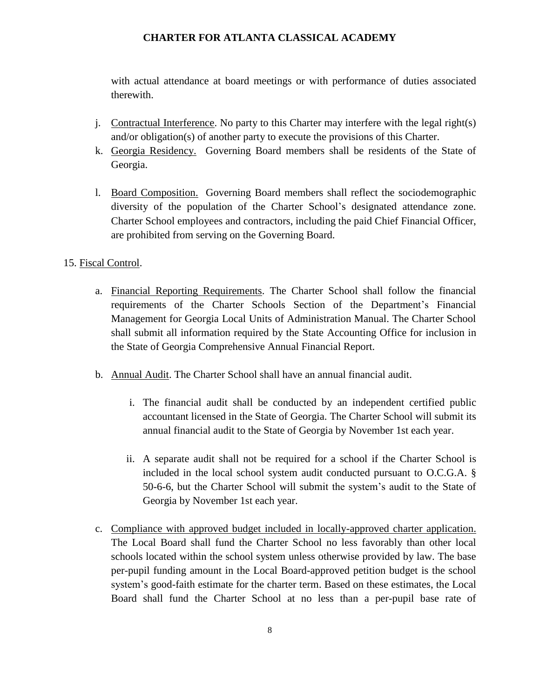with actual attendance at board meetings or with performance of duties associated therewith.

- j. Contractual Interference. No party to this Charter may interfere with the legal right(s) and/or obligation(s) of another party to execute the provisions of this Charter.
- k. Georgia Residency. Governing Board members shall be residents of the State of Georgia.
- l. Board Composition. Governing Board members shall reflect the sociodemographic diversity of the population of the Charter School's designated attendance zone. Charter School employees and contractors, including the paid Chief Financial Officer, are prohibited from serving on the Governing Board.

# 15. Fiscal Control.

- a. Financial Reporting Requirements. The Charter School shall follow the financial requirements of the Charter Schools Section of the Department's Financial Management for Georgia Local Units of Administration Manual. The Charter School shall submit all information required by the State Accounting Office for inclusion in the State of Georgia Comprehensive Annual Financial Report.
- b. Annual Audit. The Charter School shall have an annual financial audit.
	- i. The financial audit shall be conducted by an independent certified public accountant licensed in the State of Georgia. The Charter School will submit its annual financial audit to the State of Georgia by November 1st each year.
	- ii. A separate audit shall not be required for a school if the Charter School is included in the local school system audit conducted pursuant to O.C.G.A. § 50-6-6, but the Charter School will submit the system's audit to the State of Georgia by November 1st each year.
- c. Compliance with approved budget included in locally-approved charter application. The Local Board shall fund the Charter School no less favorably than other local schools located within the school system unless otherwise provided by law. The base per-pupil funding amount in the Local Board-approved petition budget is the school system's good-faith estimate for the charter term. Based on these estimates, the Local Board shall fund the Charter School at no less than a per-pupil base rate of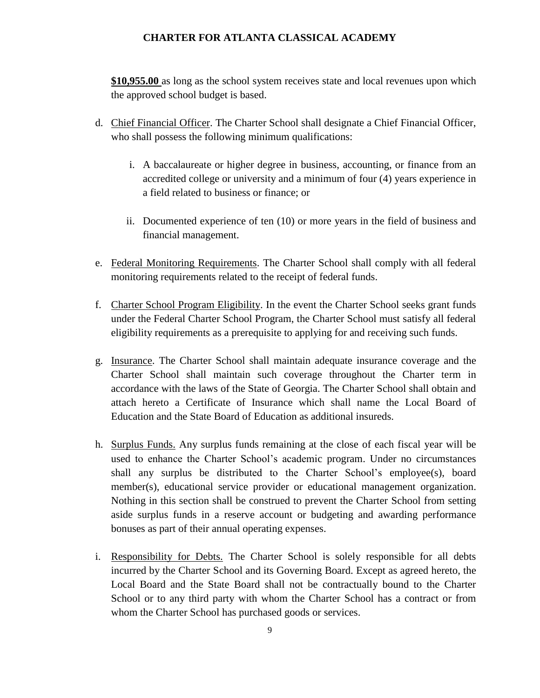**\$10,955.00** as long as the school system receives state and local revenues upon which the approved school budget is based.

- d. Chief Financial Officer. The Charter School shall designate a Chief Financial Officer, who shall possess the following minimum qualifications:
	- i. A baccalaureate or higher degree in business, accounting, or finance from an accredited college or university and a minimum of four (4) years experience in a field related to business or finance; or
	- ii. Documented experience of ten (10) or more years in the field of business and financial management.
- e. Federal Monitoring Requirements. The Charter School shall comply with all federal monitoring requirements related to the receipt of federal funds.
- f. Charter School Program Eligibility. In the event the Charter School seeks grant funds under the Federal Charter School Program, the Charter School must satisfy all federal eligibility requirements as a prerequisite to applying for and receiving such funds.
- g. Insurance. The Charter School shall maintain adequate insurance coverage and the Charter School shall maintain such coverage throughout the Charter term in accordance with the laws of the State of Georgia. The Charter School shall obtain and attach hereto a Certificate of Insurance which shall name the Local Board of Education and the State Board of Education as additional insureds.
- h. Surplus Funds. Any surplus funds remaining at the close of each fiscal year will be used to enhance the Charter School's academic program. Under no circumstances shall any surplus be distributed to the Charter School's employee(s), board member(s), educational service provider or educational management organization. Nothing in this section shall be construed to prevent the Charter School from setting aside surplus funds in a reserve account or budgeting and awarding performance bonuses as part of their annual operating expenses.
- i. Responsibility for Debts. The Charter School is solely responsible for all debts incurred by the Charter School and its Governing Board. Except as agreed hereto, the Local Board and the State Board shall not be contractually bound to the Charter School or to any third party with whom the Charter School has a contract or from whom the Charter School has purchased goods or services.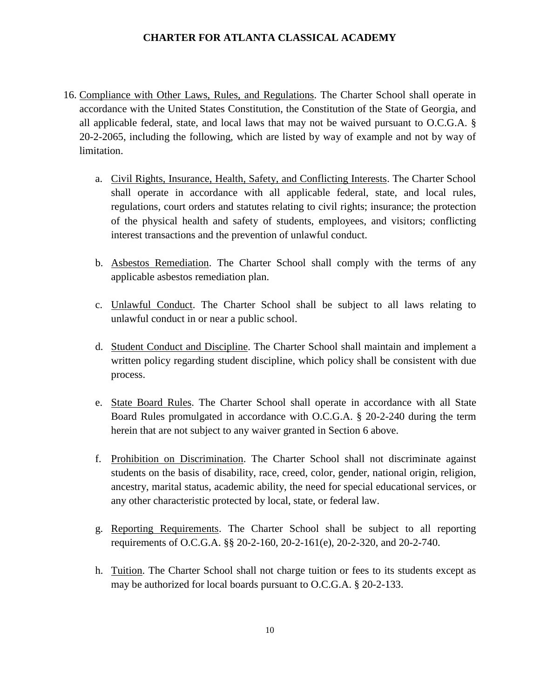- 16. Compliance with Other Laws, Rules, and Regulations. The Charter School shall operate in accordance with the United States Constitution, the Constitution of the State of Georgia, and all applicable federal, state, and local laws that may not be waived pursuant to O.C.G.A. § 20-2-2065, including the following, which are listed by way of example and not by way of limitation.
	- a. Civil Rights, Insurance, Health, Safety, and Conflicting Interests. The Charter School shall operate in accordance with all applicable federal, state, and local rules, regulations, court orders and statutes relating to civil rights; insurance; the protection of the physical health and safety of students, employees, and visitors; conflicting interest transactions and the prevention of unlawful conduct.
	- b. Asbestos Remediation. The Charter School shall comply with the terms of any applicable asbestos remediation plan.
	- c. Unlawful Conduct. The Charter School shall be subject to all laws relating to unlawful conduct in or near a public school.
	- d. Student Conduct and Discipline. The Charter School shall maintain and implement a written policy regarding student discipline, which policy shall be consistent with due process.
	- e. State Board Rules. The Charter School shall operate in accordance with all State Board Rules promulgated in accordance with O.C.G.A. § 20-2-240 during the term herein that are not subject to any waiver granted in Section 6 above.
	- f. Prohibition on Discrimination. The Charter School shall not discriminate against students on the basis of disability, race, creed, color, gender, national origin, religion, ancestry, marital status, academic ability, the need for special educational services, or any other characteristic protected by local, state, or federal law.
	- g. Reporting Requirements. The Charter School shall be subject to all reporting requirements of O.C.G.A. §§ 20-2-160, 20-2-161(e), 20-2-320, and 20-2-740.
	- h. Tuition. The Charter School shall not charge tuition or fees to its students except as may be authorized for local boards pursuant to O.C.G.A. § 20-2-133.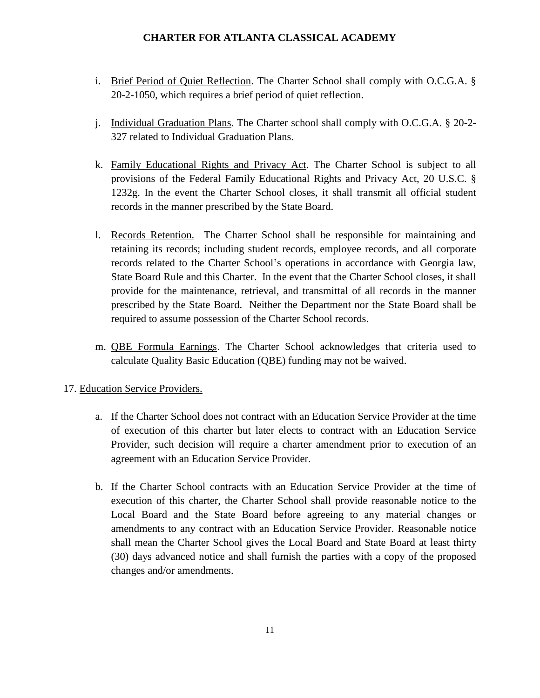- i. Brief Period of Quiet Reflection. The Charter School shall comply with O.C.G.A. § 20-2-1050, which requires a brief period of quiet reflection.
- j. Individual Graduation Plans. The Charter school shall comply with O.C.G.A. § 20-2- 327 related to Individual Graduation Plans.
- k. Family Educational Rights and Privacy Act. The Charter School is subject to all provisions of the Federal Family Educational Rights and Privacy Act, 20 U.S.C. § 1232g. In the event the Charter School closes, it shall transmit all official student records in the manner prescribed by the State Board.
- l. Records Retention. The Charter School shall be responsible for maintaining and retaining its records; including student records, employee records, and all corporate records related to the Charter School's operations in accordance with Georgia law, State Board Rule and this Charter. In the event that the Charter School closes, it shall provide for the maintenance, retrieval, and transmittal of all records in the manner prescribed by the State Board. Neither the Department nor the State Board shall be required to assume possession of the Charter School records.
- m. QBE Formula Earnings. The Charter School acknowledges that criteria used to calculate Quality Basic Education (QBE) funding may not be waived.

# 17. Education Service Providers.

- a. If the Charter School does not contract with an Education Service Provider at the time of execution of this charter but later elects to contract with an Education Service Provider, such decision will require a charter amendment prior to execution of an agreement with an Education Service Provider.
- b. If the Charter School contracts with an Education Service Provider at the time of execution of this charter, the Charter School shall provide reasonable notice to the Local Board and the State Board before agreeing to any material changes or amendments to any contract with an Education Service Provider. Reasonable notice shall mean the Charter School gives the Local Board and State Board at least thirty (30) days advanced notice and shall furnish the parties with a copy of the proposed changes and/or amendments.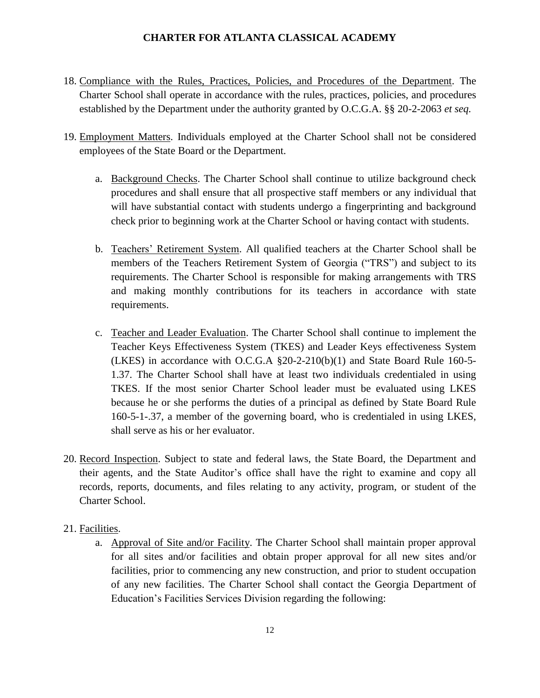- 18. Compliance with the Rules, Practices, Policies, and Procedures of the Department. The Charter School shall operate in accordance with the rules, practices, policies, and procedures established by the Department under the authority granted by O.C.G.A. §§ 20-2-2063 *et seq.*
- 19. Employment Matters. Individuals employed at the Charter School shall not be considered employees of the State Board or the Department.
	- a. Background Checks. The Charter School shall continue to utilize background check procedures and shall ensure that all prospective staff members or any individual that will have substantial contact with students undergo a fingerprinting and background check prior to beginning work at the Charter School or having contact with students.
	- b. Teachers' Retirement System. All qualified teachers at the Charter School shall be members of the Teachers Retirement System of Georgia ("TRS") and subject to its requirements. The Charter School is responsible for making arrangements with TRS and making monthly contributions for its teachers in accordance with state requirements.
	- c. Teacher and Leader Evaluation. The Charter School shall continue to implement the Teacher Keys Effectiveness System (TKES) and Leader Keys effectiveness System (LKES) in accordance with O.C.G.A §20-2-210(b)(1) and State Board Rule 160-5- 1.37. The Charter School shall have at least two individuals credentialed in using TKES. If the most senior Charter School leader must be evaluated using LKES because he or she performs the duties of a principal as defined by State Board Rule 160-5-1-.37, a member of the governing board, who is credentialed in using LKES, shall serve as his or her evaluator.
- 20. Record Inspection. Subject to state and federal laws, the State Board, the Department and their agents, and the State Auditor's office shall have the right to examine and copy all records, reports, documents, and files relating to any activity, program, or student of the Charter School.
- 21. Facilities.
	- a. Approval of Site and/or Facility. The Charter School shall maintain proper approval for all sites and/or facilities and obtain proper approval for all new sites and/or facilities, prior to commencing any new construction, and prior to student occupation of any new facilities. The Charter School shall contact the Georgia Department of Education's Facilities Services Division regarding the following: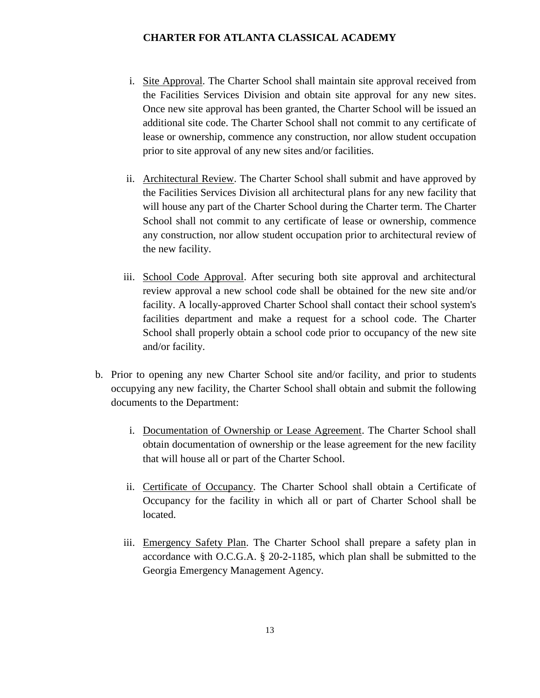- i. Site Approval. The Charter School shall maintain site approval received from the Facilities Services Division and obtain site approval for any new sites. Once new site approval has been granted, the Charter School will be issued an additional site code. The Charter School shall not commit to any certificate of lease or ownership, commence any construction, nor allow student occupation prior to site approval of any new sites and/or facilities.
- ii. Architectural Review. The Charter School shall submit and have approved by the Facilities Services Division all architectural plans for any new facility that will house any part of the Charter School during the Charter term. The Charter School shall not commit to any certificate of lease or ownership, commence any construction, nor allow student occupation prior to architectural review of the new facility.
- iii. School Code Approval. After securing both site approval and architectural review approval a new school code shall be obtained for the new site and/or facility. A locally-approved Charter School shall contact their school system's facilities department and make a request for a school code. The Charter School shall properly obtain a school code prior to occupancy of the new site and/or facility.
- b. Prior to opening any new Charter School site and/or facility, and prior to students occupying any new facility, the Charter School shall obtain and submit the following documents to the Department:
	- i. Documentation of Ownership or Lease Agreement. The Charter School shall obtain documentation of ownership or the lease agreement for the new facility that will house all or part of the Charter School.
	- ii. Certificate of Occupancy. The Charter School shall obtain a Certificate of Occupancy for the facility in which all or part of Charter School shall be located.
	- iii. Emergency Safety Plan. The Charter School shall prepare a safety plan in accordance with O.C.G.A. § 20-2-1185, which plan shall be submitted to the Georgia Emergency Management Agency.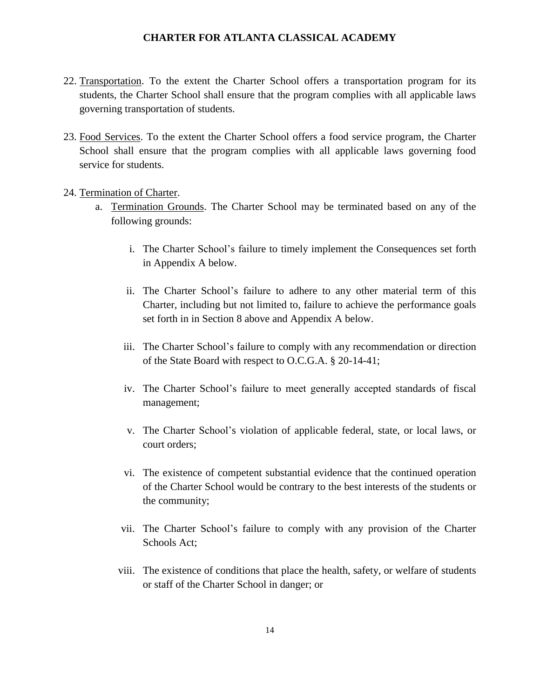- 22. Transportation. To the extent the Charter School offers a transportation program for its students, the Charter School shall ensure that the program complies with all applicable laws governing transportation of students.
- 23. Food Services. To the extent the Charter School offers a food service program, the Charter School shall ensure that the program complies with all applicable laws governing food service for students.

#### 24. Termination of Charter.

- a. Termination Grounds. The Charter School may be terminated based on any of the following grounds:
	- i. The Charter School's failure to timely implement the Consequences set forth in Appendix A below.
	- ii. The Charter School's failure to adhere to any other material term of this Charter, including but not limited to, failure to achieve the performance goals set forth in in Section 8 above and Appendix A below.
	- iii. The Charter School's failure to comply with any recommendation or direction of the State Board with respect to O.C.G.A. § 20-14-41;
	- iv. The Charter School's failure to meet generally accepted standards of fiscal management;
	- v. The Charter School's violation of applicable federal, state, or local laws, or court orders;
	- vi. The existence of competent substantial evidence that the continued operation of the Charter School would be contrary to the best interests of the students or the community;
	- vii. The Charter School's failure to comply with any provision of the Charter Schools Act;
	- viii. The existence of conditions that place the health, safety, or welfare of students or staff of the Charter School in danger; or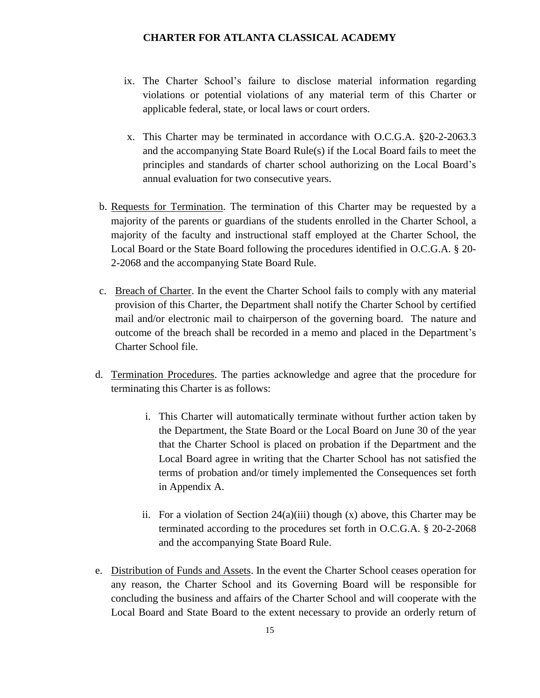- ix. The Charter School's failure to disclose material information regarding violations or potential violations of any material term of this Charter or applicable federal, state, or local laws or court orders.
- x. This Charter may be terminated in accordance with O.C.G.A. §20-2-2063.3 and the accompanying State Board Rule(s) if the Local Board fails to meet the principles and standards of charter school authorizing on the Local Board's annual evaluation for two consecutive years.
- b. Requests for Termination. The termination of this Charter may be requested by a majority of the parents or guardians of the students enrolled in the Charter School, a majority of the faculty and instructional staff employed at the Charter School, the Local Board or the State Board following the procedures identified in O.C.G.A. § 20- 2-2068 and the accompanying State Board Rule.
- c. Breach of Charter. In the event the Charter School fails to comply with any material provision of this Charter, the Department shall notify the Charter School by certified mail and/or electronic mail to chairperson of the governing board. The nature and outcome of the breach shall be recorded in a memo and placed in the Department's Charter School file.
- d. Termination Procedures. The parties acknowledge and agree that the procedure for terminating this Charter is as follows:
	- i. This Charter will automatically terminate without further action taken by the Department, the State Board or the Local Board on June 30 of the year that the Charter School is placed on probation if the Department and the Local Board agree in writing that the Charter School has not satisfied the terms of probation and/or timely implemented the Consequences set forth in Appendix A.
	- ii. For a violation of Section  $24(a)(iii)$  though  $(x)$  above, this Charter may be terminated according to the procedures set forth in O.C.G.A. § 20-2-2068 and the accompanying State Board Rule.
- e. Distribution of Funds and Assets. In the event the Charter School ceases operation for any reason, the Charter School and its Governing Board will be responsible for concluding the business and affairs of the Charter School and will cooperate with the Local Board and State Board to the extent necessary to provide an orderly return of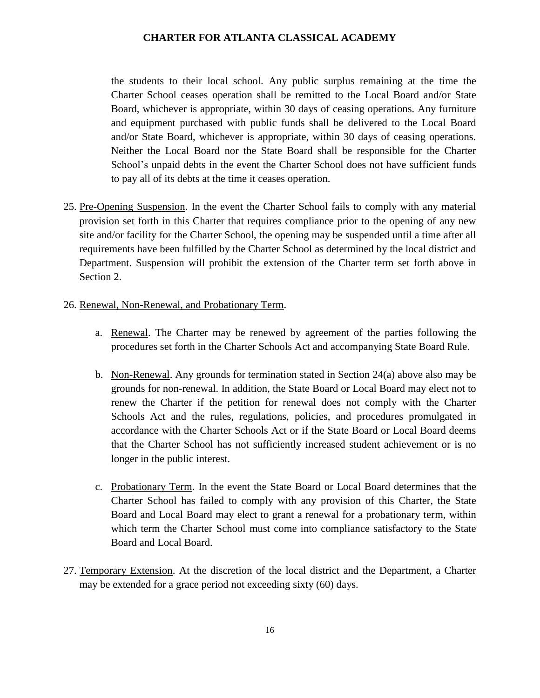the students to their local school. Any public surplus remaining at the time the Charter School ceases operation shall be remitted to the Local Board and/or State Board, whichever is appropriate, within 30 days of ceasing operations. Any furniture and equipment purchased with public funds shall be delivered to the Local Board and/or State Board, whichever is appropriate, within 30 days of ceasing operations. Neither the Local Board nor the State Board shall be responsible for the Charter School's unpaid debts in the event the Charter School does not have sufficient funds to pay all of its debts at the time it ceases operation.

25. Pre-Opening Suspension. In the event the Charter School fails to comply with any material provision set forth in this Charter that requires compliance prior to the opening of any new site and/or facility for the Charter School, the opening may be suspended until a time after all requirements have been fulfilled by the Charter School as determined by the local district and Department. Suspension will prohibit the extension of the Charter term set forth above in Section 2.

#### 26. Renewal, Non-Renewal, and Probationary Term.

- a. Renewal. The Charter may be renewed by agreement of the parties following the procedures set forth in the Charter Schools Act and accompanying State Board Rule.
- b. Non-Renewal. Any grounds for termination stated in Section 24(a) above also may be grounds for non-renewal. In addition, the State Board or Local Board may elect not to renew the Charter if the petition for renewal does not comply with the Charter Schools Act and the rules, regulations, policies, and procedures promulgated in accordance with the Charter Schools Act or if the State Board or Local Board deems that the Charter School has not sufficiently increased student achievement or is no longer in the public interest.
- c. Probationary Term. In the event the State Board or Local Board determines that the Charter School has failed to comply with any provision of this Charter, the State Board and Local Board may elect to grant a renewal for a probationary term, within which term the Charter School must come into compliance satisfactory to the State Board and Local Board.
- 27. Temporary Extension. At the discretion of the local district and the Department, a Charter may be extended for a grace period not exceeding sixty (60) days.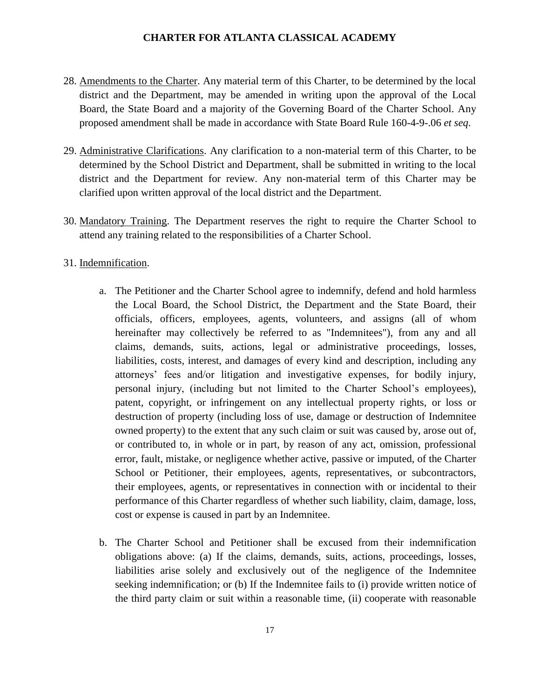- 28. Amendments to the Charter. Any material term of this Charter, to be determined by the local district and the Department, may be amended in writing upon the approval of the Local Board, the State Board and a majority of the Governing Board of the Charter School. Any proposed amendment shall be made in accordance with State Board Rule 160-4-9-.06 *et seq*.
- 29. Administrative Clarifications. Any clarification to a non-material term of this Charter, to be determined by the School District and Department, shall be submitted in writing to the local district and the Department for review. Any non-material term of this Charter may be clarified upon written approval of the local district and the Department.
- 30. Mandatory Training. The Department reserves the right to require the Charter School to attend any training related to the responsibilities of a Charter School.
- 31. Indemnification.
	- a. The Petitioner and the Charter School agree to indemnify, defend and hold harmless the Local Board, the School District, the Department and the State Board, their officials, officers, employees, agents, volunteers, and assigns (all of whom hereinafter may collectively be referred to as "Indemnitees"), from any and all claims, demands, suits, actions, legal or administrative proceedings, losses, liabilities, costs, interest, and damages of every kind and description, including any attorneys' fees and/or litigation and investigative expenses, for bodily injury, personal injury, (including but not limited to the Charter School's employees), patent, copyright, or infringement on any intellectual property rights, or loss or destruction of property (including loss of use, damage or destruction of Indemnitee owned property) to the extent that any such claim or suit was caused by, arose out of, or contributed to, in whole or in part, by reason of any act, omission, professional error, fault, mistake, or negligence whether active, passive or imputed, of the Charter School or Petitioner, their employees, agents, representatives, or subcontractors, their employees, agents, or representatives in connection with or incidental to their performance of this Charter regardless of whether such liability, claim, damage, loss, cost or expense is caused in part by an Indemnitee.
	- b. The Charter School and Petitioner shall be excused from their indemnification obligations above: (a) If the claims, demands, suits, actions, proceedings, losses, liabilities arise solely and exclusively out of the negligence of the Indemnitee seeking indemnification; or (b) If the Indemnitee fails to (i) provide written notice of the third party claim or suit within a reasonable time, (ii) cooperate with reasonable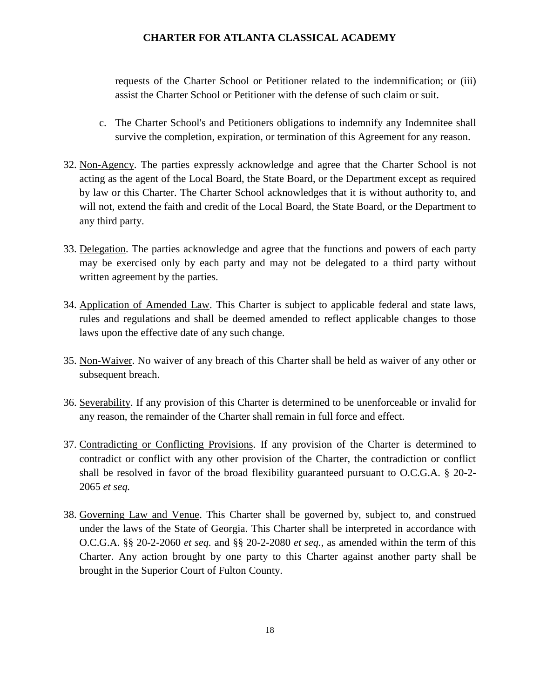requests of the Charter School or Petitioner related to the indemnification; or (iii) assist the Charter School or Petitioner with the defense of such claim or suit.

- c. The Charter School's and Petitioners obligations to indemnify any Indemnitee shall survive the completion, expiration, or termination of this Agreement for any reason.
- 32. Non-Agency. The parties expressly acknowledge and agree that the Charter School is not acting as the agent of the Local Board, the State Board, or the Department except as required by law or this Charter. The Charter School acknowledges that it is without authority to, and will not, extend the faith and credit of the Local Board, the State Board, or the Department to any third party.
- 33. Delegation. The parties acknowledge and agree that the functions and powers of each party may be exercised only by each party and may not be delegated to a third party without written agreement by the parties.
- 34. Application of Amended Law. This Charter is subject to applicable federal and state laws, rules and regulations and shall be deemed amended to reflect applicable changes to those laws upon the effective date of any such change.
- 35. Non-Waiver. No waiver of any breach of this Charter shall be held as waiver of any other or subsequent breach.
- 36. Severability. If any provision of this Charter is determined to be unenforceable or invalid for any reason, the remainder of the Charter shall remain in full force and effect.
- 37. Contradicting or Conflicting Provisions. If any provision of the Charter is determined to contradict or conflict with any other provision of the Charter, the contradiction or conflict shall be resolved in favor of the broad flexibility guaranteed pursuant to O.C.G.A. § 20-2- 2065 *et seq.*
- 38. Governing Law and Venue. This Charter shall be governed by, subject to, and construed under the laws of the State of Georgia. This Charter shall be interpreted in accordance with O.C.G.A. §§ 20-2-2060 *et seq.* and §§ 20-2-2080 *et seq.*, as amended within the term of this Charter. Any action brought by one party to this Charter against another party shall be brought in the Superior Court of Fulton County.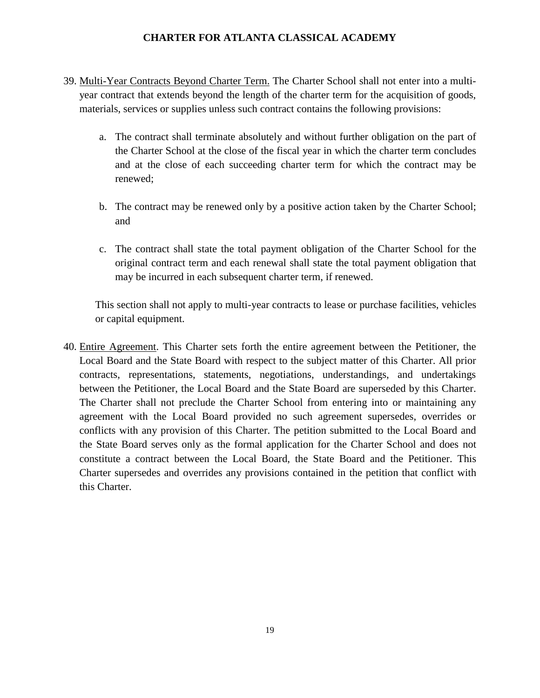- 39. Multi-Year Contracts Beyond Charter Term. The Charter School shall not enter into a multiyear contract that extends beyond the length of the charter term for the acquisition of goods, materials, services or supplies unless such contract contains the following provisions:
	- a. The contract shall terminate absolutely and without further obligation on the part of the Charter School at the close of the fiscal year in which the charter term concludes and at the close of each succeeding charter term for which the contract may be renewed;
	- b. The contract may be renewed only by a positive action taken by the Charter School; and
	- c. The contract shall state the total payment obligation of the Charter School for the original contract term and each renewal shall state the total payment obligation that may be incurred in each subsequent charter term, if renewed.

This section shall not apply to multi-year contracts to lease or purchase facilities, vehicles or capital equipment.

40. Entire Agreement. This Charter sets forth the entire agreement between the Petitioner, the Local Board and the State Board with respect to the subject matter of this Charter. All prior contracts, representations, statements, negotiations, understandings, and undertakings between the Petitioner, the Local Board and the State Board are superseded by this Charter. The Charter shall not preclude the Charter School from entering into or maintaining any agreement with the Local Board provided no such agreement supersedes, overrides or conflicts with any provision of this Charter. The petition submitted to the Local Board and the State Board serves only as the formal application for the Charter School and does not constitute a contract between the Local Board, the State Board and the Petitioner. This Charter supersedes and overrides any provisions contained in the petition that conflict with this Charter.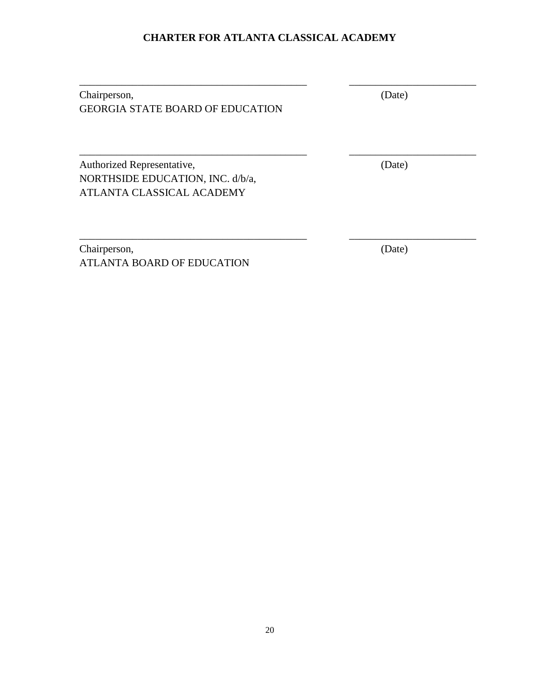\_\_\_\_\_\_\_\_\_\_\_\_\_\_\_\_\_\_\_\_\_\_\_\_\_\_\_\_\_\_\_\_\_\_\_\_\_\_\_\_\_\_\_ \_\_\_\_\_\_\_\_\_\_\_\_\_\_\_\_\_\_\_\_\_\_\_\_

\_\_\_\_\_\_\_\_\_\_\_\_\_\_\_\_\_\_\_\_\_\_\_\_\_\_\_\_\_\_\_\_\_\_\_\_\_\_\_\_\_\_\_ \_\_\_\_\_\_\_\_\_\_\_\_\_\_\_\_\_\_\_\_\_\_\_\_

\_\_\_\_\_\_\_\_\_\_\_\_\_\_\_\_\_\_\_\_\_\_\_\_\_\_\_\_\_\_\_\_\_\_\_\_\_\_\_\_\_\_\_ \_\_\_\_\_\_\_\_\_\_\_\_\_\_\_\_\_\_\_\_\_\_\_\_

| Chairperson,                            | (Date) |
|-----------------------------------------|--------|
| <b>GEORGIA STATE BOARD OF EDUCATION</b> |        |

Authorized Representative, (Date) NORTHSIDE EDUCATION, INC. d/b/a, ATLANTA CLASSICAL ACADEMY

Chairperson, (Date) ATLANTA BOARD OF EDUCATION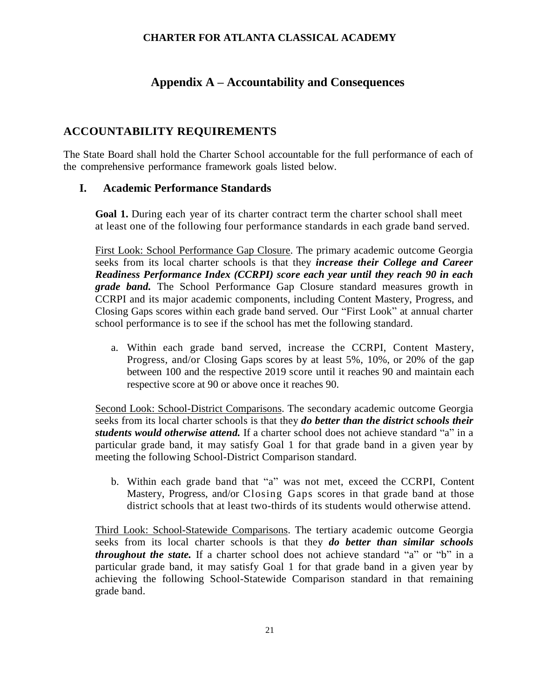# **Appendix A – Accountability and Consequences**

# **ACCOUNTABILITY REQUIREMENTS**

The State Board shall hold the Charter School accountable for the full performance of each of the comprehensive performance framework goals listed below.

# **I. Academic Performance Standards**

**Goal 1.** During each year of its charter contract term the charter school shall meet at least one of the following four performance standards in each grade band served.

First Look: School Performance Gap Closure. The primary academic outcome Georgia seeks from its local charter schools is that they *increase their College and Career Readiness Performance Index (CCRPI) score each year until they reach 90 in each grade band.* The School Performance Gap Closure standard measures growth in CCRPI and its major academic components, including Content Mastery, Progress, and Closing Gaps scores within each grade band served. Our "First Look" at annual charter school performance is to see if the school has met the following standard.

a. Within each grade band served, increase the CCRPI, Content Mastery, Progress, and/or Closing Gaps scores by at least 5%, 10%, or 20% of the gap between 100 and the respective 2019 score until it reaches 90 and maintain each respective score at 90 or above once it reaches 90.

Second Look: School-District Comparisons. The secondary academic outcome Georgia seeks from its local charter schools is that they *do better than the district schools their students would otherwise attend.* If a charter school does not achieve standard "a" in a particular grade band, it may satisfy Goal 1 for that grade band in a given year by meeting the following School-District Comparison standard.

b. Within each grade band that "a" was not met, exceed the CCRPI, Content Mastery, Progress, and/or Closing Gaps scores in that grade band at those district schools that at least two-thirds of its students would otherwise attend.

Third Look: School-Statewide Comparisons. The tertiary academic outcome Georgia seeks from its local charter schools is that they *do better than similar schools throughout the state.* If a charter school does not achieve standard "a" or "b" in a particular grade band, it may satisfy Goal 1 for that grade band in a given year by achieving the following School-Statewide Comparison standard in that remaining grade band.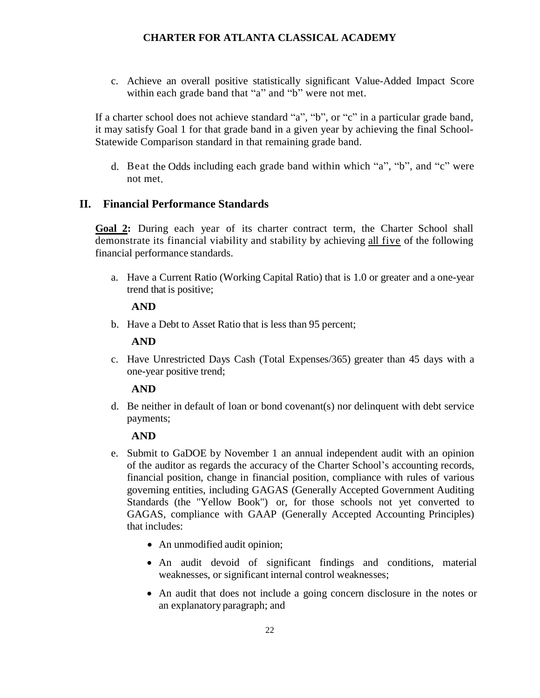c. Achieve an overall positive statistically significant Value-Added Impact Score within each grade band that "a" and "b" were not met.

If a charter school does not achieve standard "a", "b", or "c" in a particular grade band, it may satisfy Goal 1 for that grade band in a given year by achieving the final School-Statewide Comparison standard in that remaining grade band.

d. Beat the Odds including each grade band within which "a", "b", and "c" were not met.

# **II. Financial Performance Standards**

**Goal 2:** During each year of its charter contract term, the Charter School shall demonstrate its financial viability and stability by achieving all five of the following financial performance standards.

a. Have a Current Ratio (Working Capital Ratio) that is 1.0 or greater and a one-year trend that is positive;

#### **AND**

b. Have a Debt to Asset Ratio that is less than 95 percent;

# **AND**

c. Have Unrestricted Days Cash (Total Expenses/365) greater than 45 days with a one-year positive trend;

# **AND**

d. Be neither in default of loan or bond covenant(s) nor delinquent with debt service payments;

# **AND**

- e. Submit to GaDOE by November 1 an annual independent audit with an opinion of the auditor as regards the accuracy of the Charter School's accounting records, financial position, change in financial position, compliance with rules of various governing entities, including GAGAS (Generally Accepted Government Auditing Standards (the "Yellow Book") or, for those schools not yet converted to GAGAS, compliance with GAAP (Generally Accepted Accounting Principles) that includes:
	- An unmodified audit opinion;
	- An audit devoid of significant findings and conditions, material weaknesses, or significant internal control weaknesses;
	- An audit that does not include a going concern disclosure in the notes or an explanatory paragraph; and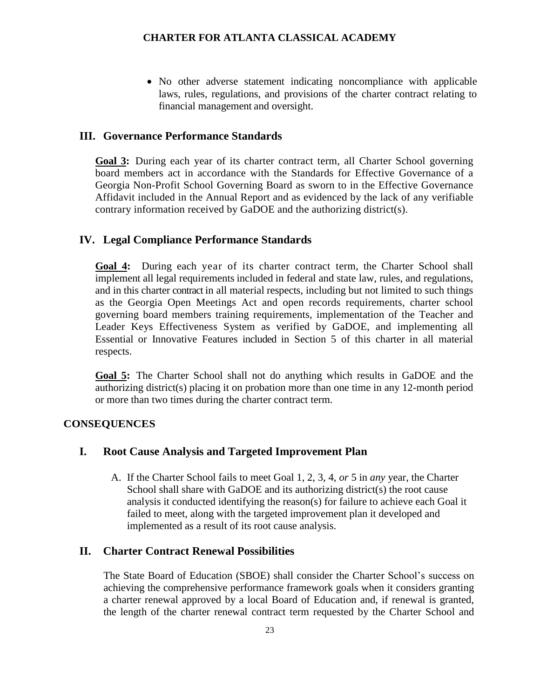• No other adverse statement indicating noncompliance with applicable laws, rules, regulations, and provisions of the charter contract relating to financial management and oversight.

# **III. Governance Performance Standards**

**Goal 3:** During each year of its charter contract term, all Charter School governing board members act in accordance with the Standards for Effective Governance of a Georgia Non-Profit School Governing Board as sworn to in the Effective Governance Affidavit included in the Annual Report and as evidenced by the lack of any verifiable contrary information received by GaDOE and the authorizing district(s).

#### **IV. Legal Compliance Performance Standards**

**Goal 4:** During each year of its charter contract term, the Charter School shall implement all legal requirements included in federal and state law, rules, and regulations, and in this charter contract in all material respects, including but not limited to such things as the Georgia Open Meetings Act and open records requirements, charter school governing board members training requirements, implementation of the Teacher and Leader Keys Effectiveness System as verified by GaDOE, and implementing all Essential or Innovative Features included in Section 5 of this charter in all material respects.

**Goal 5:** The Charter School shall not do anything which results in GaDOE and the authorizing district(s) placing it on probation more than one time in any 12-month period or more than two times during the charter contract term.

#### **CONSEQUENCES**

#### **I. Root Cause Analysis and Targeted Improvement Plan**

A. If the Charter School fails to meet Goal 1, 2, 3, 4, *or* 5 in *any* year, the Charter School shall share with GaDOE and its authorizing district(s) the root cause analysis it conducted identifying the reason(s) for failure to achieve each Goal it failed to meet, along with the targeted improvement plan it developed and implemented as a result of its root cause analysis.

# **II. Charter Contract Renewal Possibilities**

The State Board of Education (SBOE) shall consider the Charter School's success on achieving the comprehensive performance framework goals when it considers granting a charter renewal approved by a local Board of Education and, if renewal is granted, the length of the charter renewal contract term requested by the Charter School and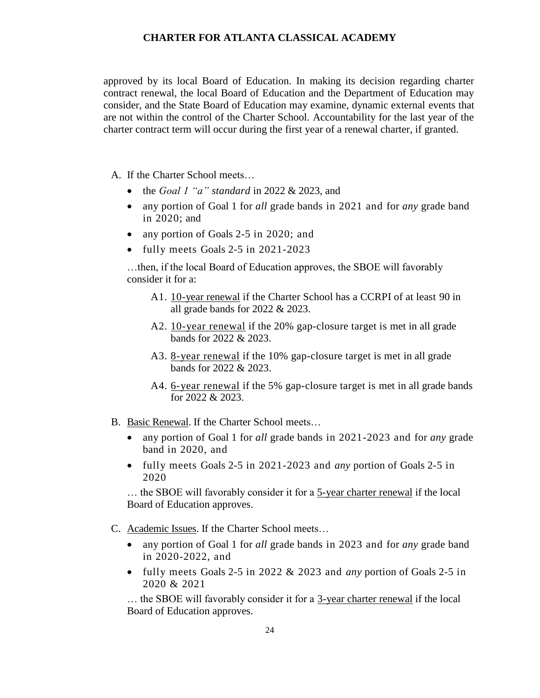approved by its local Board of Education. In making its decision regarding charter contract renewal, the local Board of Education and the Department of Education may consider, and the State Board of Education may examine, dynamic external events that are not within the control of the Charter School. Accountability for the last year of the charter contract term will occur during the first year of a renewal charter, if granted.

A. If the Charter School meets…

- the *Goal 1 "a" standard* in 2022 & 2023, and
- any portion of Goal 1 for *all* grade bands in 2021 and for *any* grade band in 2020; and
- any portion of Goals 2-5 in 2020; and
- fully meets Goals 2-5 in 2021-2023

…then, if the local Board of Education approves, the SBOE will favorably consider it for a:

- A1. 10-year renewal if the Charter School has a CCRPI of at least 90 in all grade bands for 2022 & 2023.
- A2. 10-year renewal if the 20% gap-closure target is met in all grade bands for 2022 & 2023.
- A3. 8-year renewal if the 10% gap-closure target is met in all grade bands for 2022 & 2023.
- A4. <u>6-year renewal</u> if the 5% gap-closure target is met in all grade bands for 2022 & 2023.
- B. Basic Renewal. If the Charter School meets…
	- any portion of Goal 1 for *all* grade bands in 2021-2023 and for *any* grade band in 2020, and
	- fully meets Goals 2-5 in 2021-2023 and *any* portion of Goals 2-5 in 2020

... the SBOE will favorably consider it for a 5-year charter renewal if the local Board of Education approves.

- C. Academic Issues. If the Charter School meets…
	- any portion of Goal 1 for *all* grade bands in 2023 and for *any* grade band in 2020-2022, and
	- fully meets Goals 2-5 in 2022 & 2023 and *any* portion of Goals 2-5 in 2020 & 2021

… the SBOE will favorably consider it for a 3-year charter renewal if the local Board of Education approves.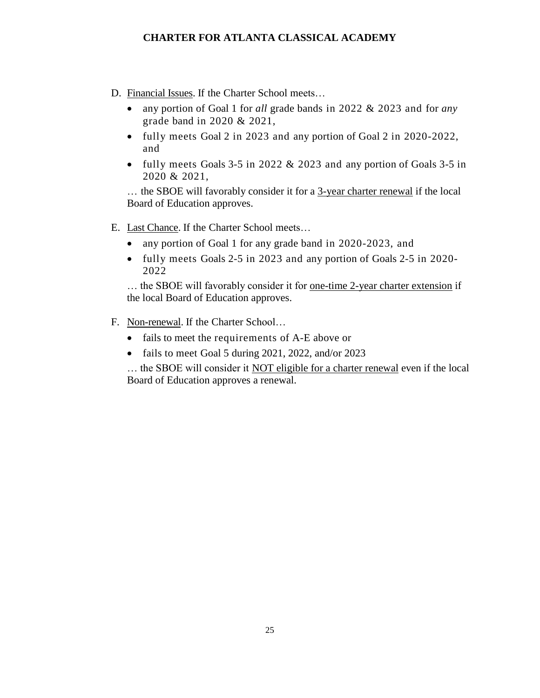- D. Financial Issues. If the Charter School meets…
	- any portion of Goal 1 for *all* grade bands in 2022 & 2023 and for *any* grade band in 2020 & 2021,
	- fully meets Goal 2 in 2023 and any portion of Goal 2 in 2020-2022, and
	- fully meets Goals 3-5 in 2022 & 2023 and any portion of Goals 3-5 in 2020 & 2021,

… the SBOE will favorably consider it for a 3-year charter renewal if the local Board of Education approves.

- E. Last Chance. If the Charter School meets…
	- any portion of Goal 1 for any grade band in 2020-2023, and
	- fully meets Goals 2-5 in 2023 and any portion of Goals 2-5 in 2020- 2022

... the SBOE will favorably consider it for <u>one-time 2-year charter extension</u> if the local Board of Education approves.

- F. Non-renewal. If the Charter School…
	- fails to meet the requirements of A-E above or
	- fails to meet Goal 5 during 2021, 2022, and/or 2023

… the SBOE will consider it NOT eligible for a charter renewal even if the local Board of Education approves a renewal.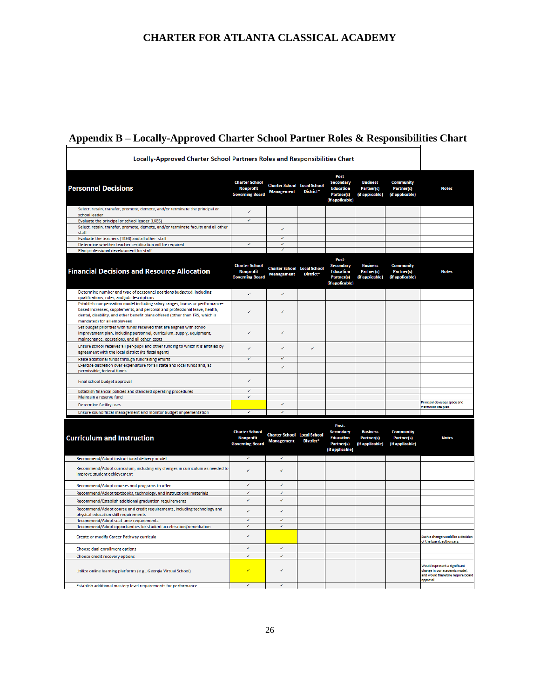# **Appendix B – Locally-Approved Charter School Partner Roles & Responsibilities Chart**

| Locally-Approved Charter School Partners Roles and Responsibilities Chart                                                                                                                                                                                                 |                                                                     |                                                         |           |                                                                                       |                                                         |                                                   |                                                                                                                        |
|---------------------------------------------------------------------------------------------------------------------------------------------------------------------------------------------------------------------------------------------------------------------------|---------------------------------------------------------------------|---------------------------------------------------------|-----------|---------------------------------------------------------------------------------------|---------------------------------------------------------|---------------------------------------------------|------------------------------------------------------------------------------------------------------------------------|
| <b>Personnel Decisions</b>                                                                                                                                                                                                                                                | <b>Charter School</b><br><b>Nonprofit</b><br><b>Governing Board</b> | <b>Charter School Local School</b><br><b>Management</b> | District* | Post-<br><b>Secondary</b><br><b>Education</b><br><b>Partner(s)</b><br>(if applicable) | <b>Business</b><br>Partner(s)<br>(if applicable)        | <b>Community</b><br>Partner(s)<br>(if applicable) | <b>Notes</b>                                                                                                           |
| Select, retain, transfer, promote, demote, and/or terminate the principal or<br>school leader                                                                                                                                                                             | v                                                                   |                                                         |           |                                                                                       |                                                         |                                                   |                                                                                                                        |
| Evaluate the principal or school leader (LKES)                                                                                                                                                                                                                            | $\checkmark$                                                        |                                                         |           |                                                                                       |                                                         |                                                   |                                                                                                                        |
| Select, retain, transfer, promote, demote, and/or terminate faculty and all other<br>staff                                                                                                                                                                                |                                                                     | ر                                                       |           |                                                                                       |                                                         |                                                   |                                                                                                                        |
| Evaluate the teachers (TKES) and all other staff                                                                                                                                                                                                                          |                                                                     | $\overline{\mathscr{L}}$                                |           |                                                                                       |                                                         |                                                   |                                                                                                                        |
| Determine whether teacher certification will be required<br>Plan professional development for staff                                                                                                                                                                       | $\checkmark$                                                        | v<br>$\checkmark$                                       |           |                                                                                       |                                                         |                                                   |                                                                                                                        |
|                                                                                                                                                                                                                                                                           |                                                                     |                                                         |           |                                                                                       |                                                         |                                                   |                                                                                                                        |
| Financial Decisions and Resource Allocation                                                                                                                                                                                                                               | <b>Charter School</b><br><b>Nonprofit</b><br><b>Governing Board</b> | <b>Charter School Local School</b><br><b>Management</b> | District* | Post-<br><b>Secondary</b><br><b>Education</b><br><b>Partner(s)</b><br>(if applicable) | <b>Business</b><br><b>Partner(s)</b><br>(if applicable) | <b>Community</b><br>Partner(s)<br>(if applicable) | <b>Notes</b>                                                                                                           |
| Determine number and type of personnel positions budgeted, including<br>qualifications, roles, and job descriptions                                                                                                                                                       | ✓                                                                   | V                                                       |           |                                                                                       |                                                         |                                                   |                                                                                                                        |
| Establish compensation model including salary ranges, bonus or performance-<br>based increases, supplements, and personal and professional leave, health,<br>dental, disability, and other benefit plans offered (other than TRS, which is<br>mandated) for all employees |                                                                     |                                                         |           |                                                                                       |                                                         |                                                   |                                                                                                                        |
| Set budget priorities with funds received that are aligned with school<br>improvement plan, including personnel, curriculum, supply, equipment,<br>maintenance, operations, and all other costs                                                                           |                                                                     | z                                                       |           |                                                                                       |                                                         |                                                   |                                                                                                                        |
| Ensure school receives all per-pupil and other funding to which it is entitled by<br>agreement with the local district (its fiscal agent)                                                                                                                                 |                                                                     |                                                         | v         |                                                                                       |                                                         |                                                   |                                                                                                                        |
| Raise additional funds through fundraising efforts                                                                                                                                                                                                                        | ⊽                                                                   | ⊽                                                       |           |                                                                                       |                                                         |                                                   |                                                                                                                        |
| Exercise discretion over expenditure for all state and local funds and, as                                                                                                                                                                                                |                                                                     |                                                         |           |                                                                                       |                                                         |                                                   |                                                                                                                        |
| permissible, federal funds<br>Final school budget approval                                                                                                                                                                                                                |                                                                     |                                                         |           |                                                                                       |                                                         |                                                   |                                                                                                                        |
| Establish financial policies and standard operating procedures                                                                                                                                                                                                            | ⊽                                                                   |                                                         |           |                                                                                       |                                                         |                                                   |                                                                                                                        |
| Maintain a reserve fund                                                                                                                                                                                                                                                   | $\checkmark$                                                        |                                                         |           |                                                                                       |                                                         |                                                   |                                                                                                                        |
| <b>Determine facility uses</b>                                                                                                                                                                                                                                            |                                                                     | V                                                       |           |                                                                                       |                                                         |                                                   | Principal develops space and<br>classroom use plan.                                                                    |
| Ensure sound fiscal management and monitor budget implementation                                                                                                                                                                                                          | $\checkmark$                                                        | V                                                       |           |                                                                                       |                                                         |                                                   |                                                                                                                        |
|                                                                                                                                                                                                                                                                           |                                                                     |                                                         |           |                                                                                       |                                                         |                                                   |                                                                                                                        |
| <b>Curriculum and Instruction</b>                                                                                                                                                                                                                                         | <b>Charter School</b><br><b>Nonprofit</b><br><b>Governing Board</b> | <b>Charter School</b> Local School<br><b>Management</b> | District* | Post-<br><b>Secondary</b><br><b>Education</b><br><b>Partner(s)</b><br>(if applicable) | <b>Business</b><br><b>Partner(s)</b><br>(if applicable) | <b>Community</b><br>Partner(s)<br>(if applicable) | <b>Notes</b>                                                                                                           |
| Recommend/Adopt instructional delivery model                                                                                                                                                                                                                              | V                                                                   | V                                                       |           |                                                                                       |                                                         |                                                   |                                                                                                                        |
| Recommend/Adopt curriculum, including any changes in curriculum as needed to<br>improve student achievement                                                                                                                                                               | $\checkmark$                                                        |                                                         |           |                                                                                       |                                                         |                                                   |                                                                                                                        |
| Recommend/Adopt courses and programs to offer                                                                                                                                                                                                                             | v                                                                   | $\checkmark$                                            |           |                                                                                       |                                                         |                                                   |                                                                                                                        |
| Recommend/Adopt textbooks, technology, and instructional materials                                                                                                                                                                                                        | ✓                                                                   | $\checkmark$                                            |           |                                                                                       |                                                         |                                                   |                                                                                                                        |
| Recommend/Establish additional graduation requirements                                                                                                                                                                                                                    | v                                                                   | ✓                                                       |           |                                                                                       |                                                         |                                                   |                                                                                                                        |
| Recommend/Adopt course and credit requirements, including technology and<br>physical education skill requirements                                                                                                                                                         | v                                                                   |                                                         |           |                                                                                       |                                                         |                                                   |                                                                                                                        |
| Recommend/Adopt seat time requirements                                                                                                                                                                                                                                    | v<br>V                                                              | $\checkmark$<br>✓                                       |           |                                                                                       |                                                         |                                                   |                                                                                                                        |
| Recommend/Adopt opportunities for student acceleration/remediation<br>Create or modify Career Pathway curricula                                                                                                                                                           | v                                                                   |                                                         |           |                                                                                       |                                                         |                                                   | Such a change would be a decision<br>of the board, authorizers.                                                        |
| Choose dual enrollment options                                                                                                                                                                                                                                            | V                                                                   | V                                                       |           |                                                                                       |                                                         |                                                   |                                                                                                                        |
| Choose credit recovery options                                                                                                                                                                                                                                            | v                                                                   | $\checkmark$                                            |           |                                                                                       |                                                         |                                                   |                                                                                                                        |
| Utilize online learning platforms (e.g., Georgia Virtual School)                                                                                                                                                                                                          | V                                                                   |                                                         |           |                                                                                       |                                                         |                                                   | <b>Would represent a significant</b><br>change in our academic model.<br>and would therefore require board<br>approval |
| Establish additional mastery level requirements for performance                                                                                                                                                                                                           | ⊽                                                                   | ⊽                                                       |           |                                                                                       |                                                         |                                                   |                                                                                                                        |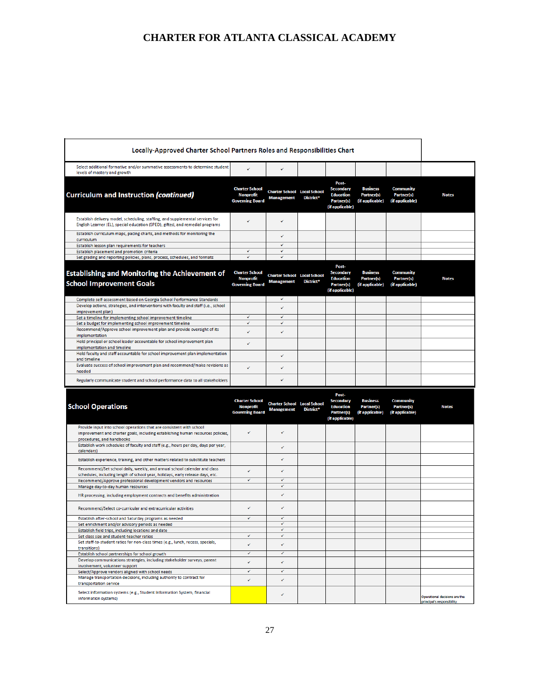| Locally-Approved Charter School Partners Roles and Responsibilities Chart                                                                                                            |                                                                     |                                                         |           |                                                                                       |                                                         |                                                          |              |
|--------------------------------------------------------------------------------------------------------------------------------------------------------------------------------------|---------------------------------------------------------------------|---------------------------------------------------------|-----------|---------------------------------------------------------------------------------------|---------------------------------------------------------|----------------------------------------------------------|--------------|
| Select additional formative and/or summative assessments to determine student<br>levels of mastery and growth                                                                        |                                                                     | ر                                                       |           |                                                                                       |                                                         |                                                          |              |
| <b>Curriculum and Instruction (continued)</b>                                                                                                                                        | <b>Charter School</b><br><b>Nonprofit</b><br><b>Governing Board</b> | <b>Charter School Local School</b><br><b>Management</b> | District* | Post-<br><b>Secondary</b><br><b>Education</b><br>Partner(s)<br>(if applicable)        | <b>Business</b><br>Partner(s)<br>(if applicable)        | <b>Community</b><br>Partner(s)<br>(if applicable)        | <b>Notes</b> |
| Establish delivery model, scheduling, staffing, and supplemental services for<br>English Learner (EL), special education (SPED), gifted, and remedial programs                       | V                                                                   | ✓                                                       |           |                                                                                       |                                                         |                                                          |              |
| Establish curriculum maps, pacing charts, and methods for monitoring the<br>curriculum                                                                                               |                                                                     | ✓                                                       |           |                                                                                       |                                                         |                                                          |              |
| Establish lesson plan requirements for teachers                                                                                                                                      |                                                                     | ✓                                                       |           |                                                                                       |                                                         |                                                          |              |
| Establish placement and promotion criteria<br>Set grading and reporting policies, plans, process, schedules, and formats                                                             | ✓<br>$\checkmark$                                                   | ✓                                                       |           |                                                                                       |                                                         |                                                          |              |
|                                                                                                                                                                                      |                                                                     |                                                         |           |                                                                                       |                                                         |                                                          |              |
| <b>Establishing and Monitoring the Achievement of</b><br><b>School Improvement Goals</b>                                                                                             | <b>Charter School</b><br><b>Nonprofit</b><br><b>Governing Board</b> | <b>Charter School Local School</b><br><b>Management</b> | District* | Post-<br><b>Secondary</b><br><b>Education</b><br><b>Partner(s)</b><br>(if applicable) | <b>Business</b><br><b>Partner(s)</b><br>(if applicable) | <b>Community</b><br><b>Partner(s)</b><br>(if applicable) | <b>Notes</b> |
| Complete self-assessment based on Georgia School Performance Standards                                                                                                               |                                                                     | ✓                                                       |           |                                                                                       |                                                         |                                                          |              |
| Develop actions, strategies, and interventions with faculty and staff (i.e., school<br>improvement plan)                                                                             | ✓                                                                   |                                                         |           |                                                                                       |                                                         |                                                          |              |
| Set a timeline for implementing school improvement timeline<br>Set a budget for implementing school improvement timeline                                                             | $\checkmark$                                                        | ✓                                                       |           |                                                                                       |                                                         |                                                          |              |
| Recommend/Approve school improvement plan and provide oversight of its<br>implementation                                                                                             | v                                                                   | v                                                       |           |                                                                                       |                                                         |                                                          |              |
| Hold principal or school leader accountable for school improvement plan<br>implementation and timeline                                                                               |                                                                     |                                                         |           |                                                                                       |                                                         |                                                          |              |
| Hold faculty and staff accountable for school improvement plan implementation<br>and timeline                                                                                        |                                                                     | V                                                       |           |                                                                                       |                                                         |                                                          |              |
| Evaluate success of school improvement plan and recommend/make revisions as<br>needed                                                                                                | v                                                                   | ✓                                                       |           |                                                                                       |                                                         |                                                          |              |
| Regularly communicate student and school performance data to all stakeholders                                                                                                        |                                                                     | J.                                                      |           |                                                                                       |                                                         |                                                          |              |
|                                                                                                                                                                                      |                                                                     |                                                         |           | Post-                                                                                 |                                                         |                                                          |              |
| <b>School Operations</b>                                                                                                                                                             | <b>Charter School</b><br><b>Nonprofit</b><br><b>Governing Board</b> | <b>Charter School Local School</b><br><b>Management</b> | District* | <b>Secondary</b><br><b>Education</b><br><b>Partner(s)</b><br>(if applicable)          | <b>Business</b><br><b>Partner(s)</b><br>(if applicable) | <b>Community</b><br><b>Partner(s)</b><br>(if applicable) | <b>Notes</b> |
| Provide input into school operations that are consistent with school<br>improvement and charter goals, including establishing human resources policies,<br>procedures, and handbooks | v                                                                   | v                                                       |           |                                                                                       |                                                         |                                                          |              |
| Establish work schedules of faculty and staff (e.g., hours per day, days per year,<br>calendars)                                                                                     |                                                                     | ✓                                                       |           |                                                                                       |                                                         |                                                          |              |
| Establish experience, training, and other matters related to substitute teachers                                                                                                     |                                                                     | Ž                                                       |           |                                                                                       |                                                         |                                                          |              |
| Recommend/Set school daily, weekly, and annual school calendar and class<br>schedules, including length of school year, holidays, early release days, etc.                           |                                                                     |                                                         |           |                                                                                       |                                                         |                                                          |              |
| Recommend/Approve professional development vendors and resources                                                                                                                     | ✓                                                                   | ⊽<br>$\checkmark$                                       |           |                                                                                       |                                                         |                                                          |              |
| Manage day-to-day human resources<br>HR processing, including employment contracts and benefits administration                                                                       |                                                                     | ✓                                                       |           |                                                                                       |                                                         |                                                          |              |
| Recommend/Select co-curricular and extracurricular activities                                                                                                                        | ر                                                                   | ✓                                                       |           |                                                                                       |                                                         |                                                          |              |
| Establish after-school and Saturday programs as needed                                                                                                                               | V                                                                   |                                                         |           |                                                                                       |                                                         |                                                          |              |
| Set enrichment and/or advisory periods as needed                                                                                                                                     |                                                                     | ✓<br>✓                                                  |           |                                                                                       |                                                         |                                                          |              |
| Establish field trips, including locations and date                                                                                                                                  | ✓                                                                   | ✓                                                       |           |                                                                                       |                                                         |                                                          |              |
| Set class size and student-teacher ratios<br>Set staff-to-student ratios for non-class times (e.g., lunch, recess, specials,<br>transitions)                                         | v                                                                   | v                                                       |           |                                                                                       |                                                         |                                                          |              |
| Establish school partnerships for school growth                                                                                                                                      | ✓                                                                   | ✓                                                       |           |                                                                                       |                                                         |                                                          |              |
| Develop communications strategies, including stakeholder surveys, parent<br>involvement, volunteer support                                                                           | ✓                                                                   | ✓                                                       |           |                                                                                       |                                                         |                                                          |              |
| Select/Approve vendors aligned with school needs                                                                                                                                     | ✓                                                                   | $\checkmark$                                            |           |                                                                                       |                                                         |                                                          |              |
| Manage transportation decisions, including authority to contract for<br>transportation service                                                                                       | ✓                                                                   | v                                                       |           |                                                                                       |                                                         |                                                          |              |